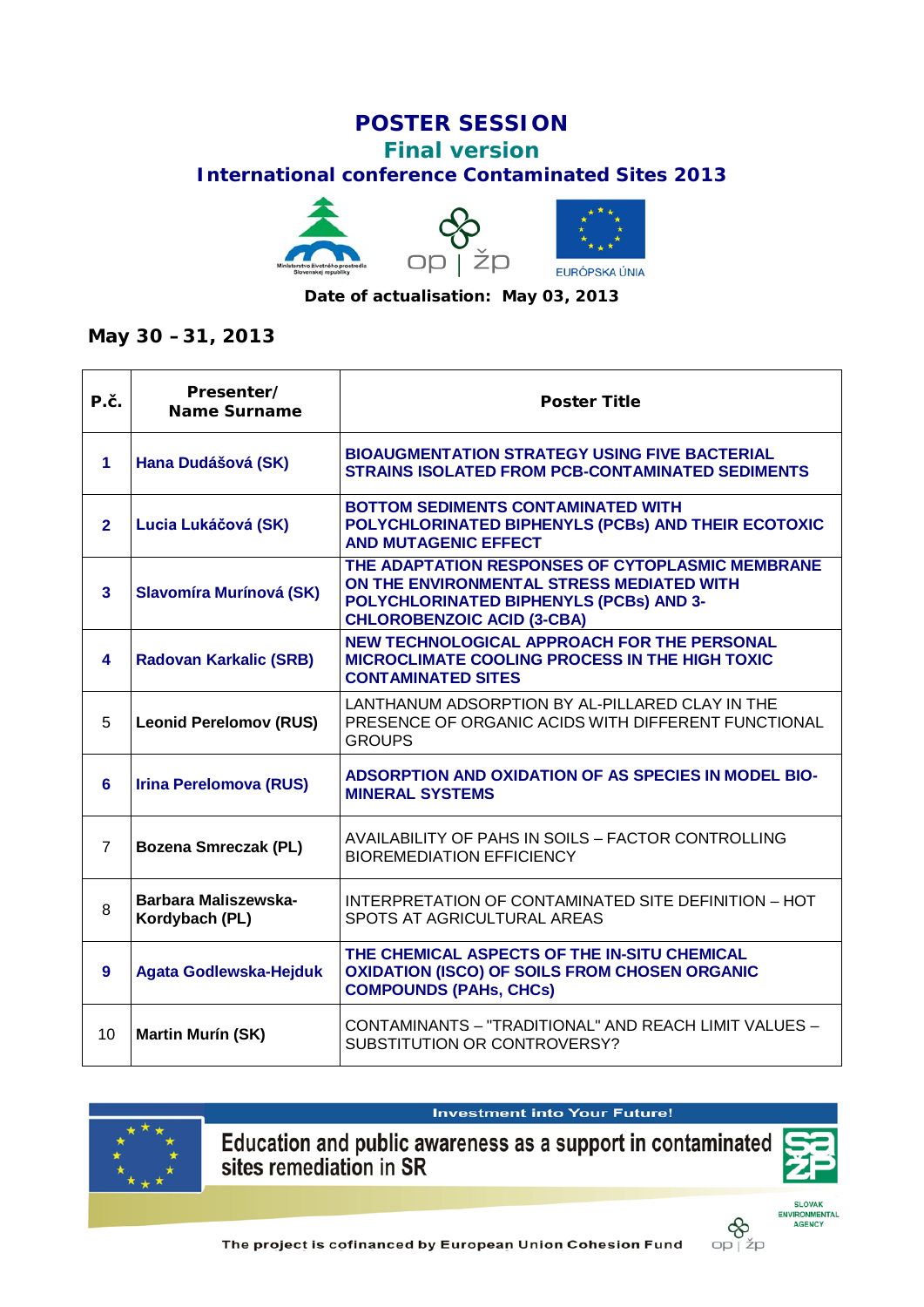## **POSTER SESSION**

## **Final version**

## **International conference Contaminated Sites 2013**



## **May 30 –31, 2013**

| P.č.                    | Presenter/<br><b>Name Surname</b>      | <b>Poster Title</b>                                                                                                                                                           |
|-------------------------|----------------------------------------|-------------------------------------------------------------------------------------------------------------------------------------------------------------------------------|
| 1                       | Hana Dudášová (SK)                     | <b>BIOAUGMENTATION STRATEGY USING FIVE BACTERIAL</b><br><b>STRAINS ISOLATED FROM PCB-CONTAMINATED SEDIMENTS</b>                                                               |
| $\overline{2}$          | Lucia Lukáčová (SK)                    | <b>BOTTOM SEDIMENTS CONTAMINATED WITH</b><br>POLYCHLORINATED BIPHENYLS (PCBs) AND THEIR ECOTOXIC<br><b>AND MUTAGENIC EFFECT</b>                                               |
| $\overline{\mathbf{3}}$ | Slavomíra Murínová (SK)                | THE ADAPTATION RESPONSES OF CYTOPLASMIC MEMBRANE<br>ON THE ENVIRONMENTAL STRESS MEDIATED WITH<br>POLYCHLORINATED BIPHENYLS (PCBs) AND 3-<br><b>CHLOROBENZOIC ACID (3-CBA)</b> |
| 4                       | <b>Radovan Karkalic (SRB)</b>          | <b>NEW TECHNOLOGICAL APPROACH FOR THE PERSONAL</b><br>MICROCLIMATE COOLING PROCESS IN THE HIGH TOXIC<br><b>CONTAMINATED SITES</b>                                             |
| 5                       | <b>Leonid Perelomov (RUS)</b>          | LANTHANUM ADSORPTION BY AL-PILLARED CLAY IN THE<br>PRESENCE OF ORGANIC ACIDS WITH DIFFERENT FUNCTIONAL<br><b>GROUPS</b>                                                       |
| 6                       | <b>Irina Perelomova (RUS)</b>          | <b>ADSORPTION AND OXIDATION OF AS SPECIES IN MODEL BIO-</b><br><b>MINERAL SYSTEMS</b>                                                                                         |
| $\overline{7}$          | <b>Bozena Smreczak (PL)</b>            | AVAILABILITY OF PAHS IN SOILS - FACTOR CONTROLLING<br><b>BIOREMEDIATION EFFICIENCY</b>                                                                                        |
| 8                       | Barbara Maliszewska-<br>Kordybach (PL) | INTERPRETATION OF CONTAMINATED SITE DEFINITION - HOT<br>SPOTS AT AGRICULTURAL AREAS                                                                                           |
| 9                       | Agata Godlewska-Hejduk                 | THE CHEMICAL ASPECTS OF THE IN-SITU CHEMICAL<br><b>OXIDATION (ISCO) OF SOILS FROM CHOSEN ORGANIC</b><br><b>COMPOUNDS (PAHS, CHCS)</b>                                         |
| 10                      | <b>Martin Murín (SK)</b>               | CONTAMINANTS - "TRADITIONAL" AND REACH LIMIT VALUES -<br>SUBSTITUTION OR CONTROVERSY?                                                                                         |

**Investment into Your Future!** 



Education and public awareness as a support in contaminated<br>sites remediation in SR



**SLOVAK**